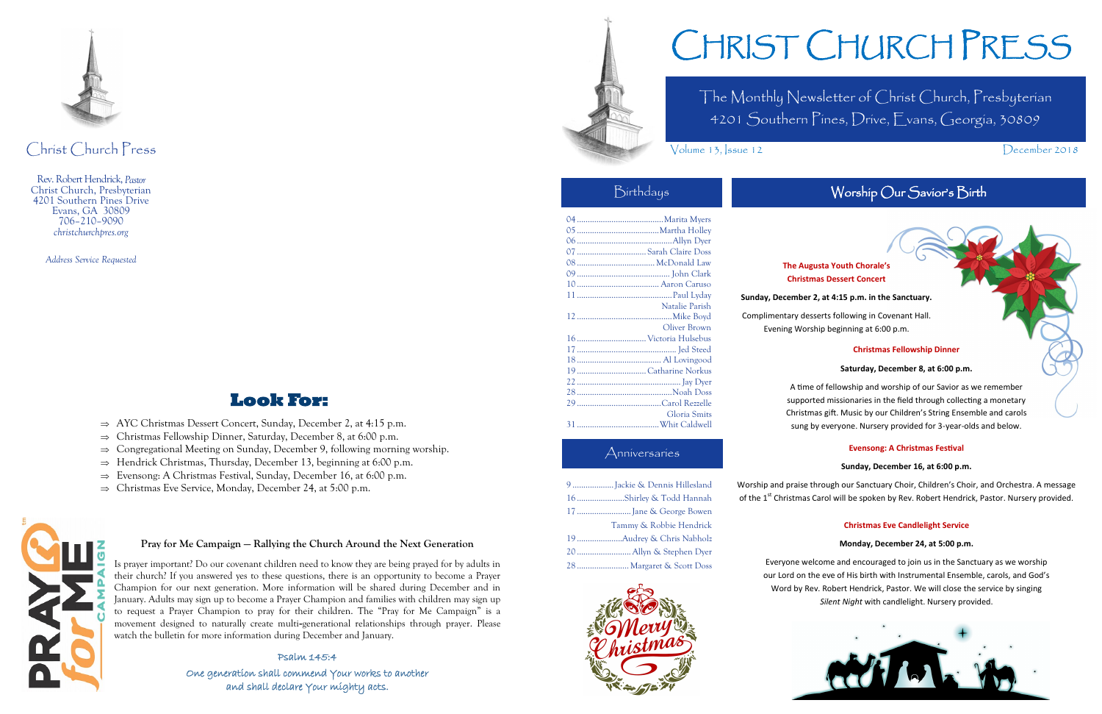The Monthly Newsletter of Christ Church, Presbyterian 4201 Southern Pines, Drive, Evans, Georgia, 30809

Volume 13, Issue 12 December 2018

# CHRIST CHURCH PRESS

### Anniversaries

# Worship Our Savior's Birth

| 9 Jackie & Dennis Hillesland |
|------------------------------|
| 16Shirley & Todd Hannah      |
|                              |
| Tammy & Robbie Hendrick      |
|                              |
|                              |
| 28  Margaret & Scott Doss    |



# Birthdays

| 07  Sarah Claire Doss |                |
|-----------------------|----------------|
|                       |                |
|                       |                |
|                       |                |
|                       |                |
|                       | Natalie Parish |
|                       |                |
|                       | Oliver Brown   |
|                       |                |
|                       |                |
|                       |                |
| 19Catharine Norkus    |                |
|                       |                |
|                       |                |
|                       |                |
|                       | Gloria Smits   |
|                       |                |

Worship and praise through our Sanctuary Choir, Children's Choir, and Orchestra. A message of the 1<sup>st</sup> Christmas Carol will be spoken by Rev. Robert Hendrick, Pastor. Nursery provided.



Christ Church Press

Rev. Robert Hendrick, *Pastor* Christ Church, Presbyterian 4201 Southern Pines Drive Evans, GA 30809 706–210–9090 *christchurchpres.org*

*Address Service Requested*

# **Look For:**

- $\Rightarrow$  AYC Christmas Dessert Concert, Sunday, December 2, at 4:15 p.m.
- $\Rightarrow$  Christmas Fellowship Dinner, Saturday, December 8, at 6:00 p.m.
- $\Rightarrow$  Congregational Meeting on Sunday, December 9, following morning worship.
- $\Rightarrow$  Hendrick Christmas, Thursday, December 13, beginning at 6:00 p.m.
- $\Rightarrow$  Evensong: A Christmas Festival, Sunday, December 16, at 6:00 p.m.
- $\Rightarrow$  Christmas Eve Service, Monday, December 24, at 5:00 p.m.



#### **The Augusta Youth Chorale's Christmas Dessert Concert**

#### **Sunday, December 2, at 4:15 p.m. in the Sanctuary.**

Complimentary desserts following in Covenant Hall. Evening Worship beginning at 6:00 p.m.

#### **Christmas Fellowship Dinner**

#### **Saturday, December 8, at 6:00 p.m.**

A time of fellowship and worship of our Savior as we remember supported missionaries in the field through collecting a monetary Christmas gift. Music by our Children's String Ensemble and carols sung by everyone. Nursery provided for 3-year-olds and below.

#### **Evensong: A Christmas Festival**

#### **Sunday, December 16, at 6:00 p.m.**

#### **Christmas Eve Candlelight Service**

#### **Monday, December 24, at 5:00 p.m.**



Everyone welcome and encouraged to join us in the Sanctuary as we worship our Lord on the eve of His birth with Instrumental Ensemble, carols, and God's Word by Rev. Robert Hendrick, Pastor. We will close the service by singing *Silent Night* with candlelight. Nursery provided.

#### **Pray for Me Campaign — Rallying the Church Around the Next Generation**

Is prayer important? Do our covenant children need to know they are being prayed for by adults in their church? If you answered yes to these questions, there is an opportunity to become a Prayer Champion for our next generation. More information will be shared during December and in January. Adults may sign up to become a Prayer Champion and families with children may sign up to request a Prayer Champion to pray for their children. The "Pray for Me Campaign" is a movement designed to naturally create multi-generational relationships through prayer. Please watch the bulletin for more information during December and January.

#### Psalm 145:4

One generation shall commend Your works to another and shall declare Your mighty acts.